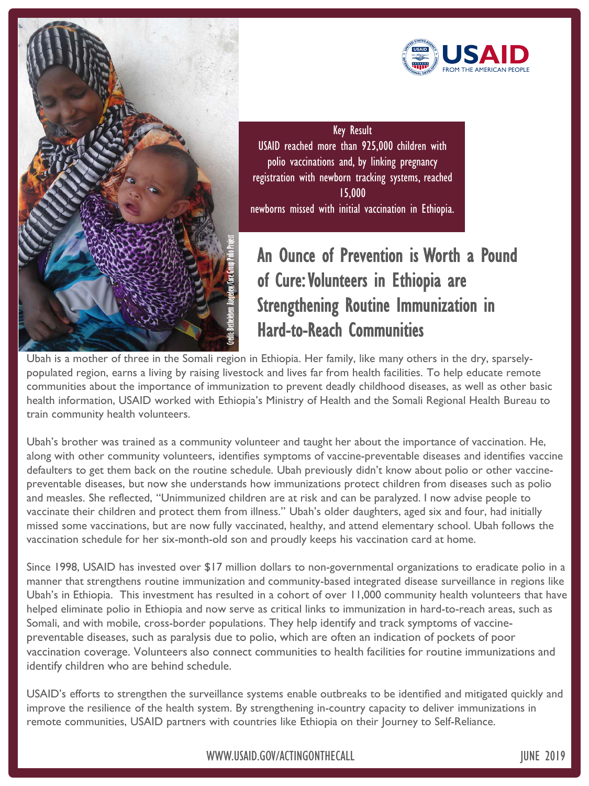



Key Result USAID reached more than 925,000 children with polio vaccinations and, by linking pregnancy registration with newborn tracking systems, reached 15,000 newborns missed with initial vaccination in Ethiopia.

## An Ounce of Prevention is Worth a Pound of Cure: Volunteers in Ethiopia are Strengthening Routine Immunization in Hard-to-Reach Communities

Ubah is a mother of three in the Somali region in Ethiopia. Her family, like many others in the dry, sparselypopulated region, earns a living by raising livestock and lives far from health facilities. To help educate remote communities about the importance of immunization to prevent deadly childhood diseases, as well as other basic health information, USAID worked with Ethiopia's Ministry of Health and the Somali Regional Health Bureau to train community health volunteers.

Ubah's brother was trained as a community volunteer and taught her about the importance of vaccination. He, along with other community volunteers, identifies symptoms of vaccine-preventable diseases and identifies vaccine defaulters to get them back on the routine schedule. Ubah previously didn't know about polio or other vaccinepreventable diseases, but now she understands how immunizations protect children from diseases such as polio and measles. She reflected, "Unimmunized children are at risk and can be paralyzed. I now advise people to vaccinate their children and protect them from illness." Ubah's older daughters, aged six and four, had initially missed some vaccinations, but are now fully vaccinated, healthy, and attend elementary school. Ubah follows the vaccination schedule for her six-month-old son and proudly keeps his vaccination card at home.

Since 1998, USAID has invested over \$17 million dollars to non-governmental organizations to eradicate polio in a manner that strengthens routine immunization and community-based integrated disease surveillance in regions like Ubah's in Ethiopia. This investment has resulted in a cohort of over 11,000 community health volunteers that have helped eliminate polio in Ethiopia and now serve as critical links to immunization in hard-to-reach areas, such as Somali, and with mobile, cross-border populations. They help identify and track symptoms of vaccinepreventable diseases, such as paralysis due to polio, which are often an indication of pockets of poor vaccination coverage. Volunteers also connect communities to health facilities for routine immunizations and identify children who are behind schedule.

USAID's efforts to strengthen the surveillance systems enable outbreaks to be identified and mitigated quickly and improve the resilience of the health system. By strengthening in-country capacity to deliver immunizations in remote communities, USAID partners with countries like Ethiopia on their Journey to Self-Reliance.